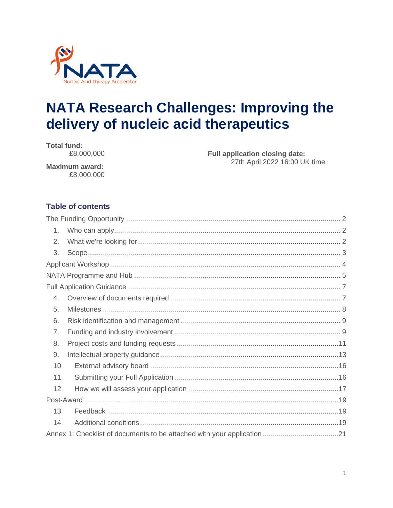

# **NATA Research Challenges: Improving the** delivery of nucleic acid therapeutics

**Total fund:** £8,000,000

**Full application closing date:** 27th April 2022 16:00 UK time

**Maximum award:** £8,000,000

# **Table of contents**

| 1.  |  |
|-----|--|
| 2.  |  |
| 3.  |  |
|     |  |
|     |  |
|     |  |
| 4.  |  |
| 5.  |  |
| 6.  |  |
| 7.  |  |
| 8.  |  |
| 9.  |  |
| 10. |  |
| 11. |  |
| 12. |  |
|     |  |
| 13. |  |
| 14. |  |
|     |  |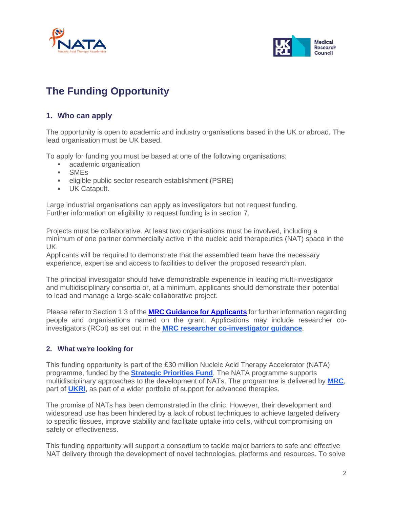



# <span id="page-1-0"></span>**The Funding Opportunity**

# <span id="page-1-1"></span>**1. Who can apply**

The opportunity is open to academic and industry organisations based in the UK or abroad. The lead organisation must be UK based.

To apply for funding you must be based at one of the following organisations:

- **academic organisation**
- SMEs
- **EXECTED FIGHTS FIGHTS IS CONTEXA** eligible public sector research establishment (PSRE)
- **UK Catapult.**

Large industrial organisations can apply as investigators but not request funding. Further information on eligibility to request funding is in section 7.

Projects must be collaborative. At least two organisations must be involved, including a minimum of one partner commercially active in the nucleic acid therapeutics (NAT) space in the UK.

Applicants will be required to demonstrate that the assembled team have the necessary experience, expertise and access to facilities to deliver the proposed research plan.

The principal investigator should have demonstrable experience in leading multi-investigator and multidisciplinary consortia or, at a minimum, applicants should demonstrate their potential to lead and manage a large-scale collaborative project.

Please refer to Section 1.3 of the **[MRC Guidance for Applicants](https://mrc.ukri.org/funding/guidance-for-applicants/1-who-can-apply-and-how-to-apply/#1.3)** for further information regarding people and organisations named on the grant. Applications may include researcher coinvestigators (RCoI) as set out in the **[MRC researcher co-investigator guidance](https://mrc.ukri.org/skills-careers/additional-career-support/researcher-co-investigator-rcoi/)**.

#### <span id="page-1-2"></span>**2. What we're looking for**

This funding opportunity is part of the £30 million Nucleic Acid Therapy Accelerator (NATA) programme, funded by the **[Strategic Priorities Fund](https://www.ukri.org/our-work/our-main-funds/strategic-priorities-fund/)**. The NATA programme supports multidisciplinary approaches to the development of NATs. The programme is delivered by **[MRC](https://mrc.ukri.org/)**, part of **[UKRI](https://www.ukri.org/)**, as part of a wider portfolio of support for advanced therapies.

The promise of NATs has been demonstrated in the clinic. However, their development and widespread use has been hindered by a lack of robust techniques to achieve targeted delivery to specific tissues, improve stability and facilitate uptake into cells, without compromising on safety or effectiveness.

This funding opportunity will support a consortium to tackle major barriers to safe and effective NAT delivery through the development of novel technologies, platforms and resources. To solve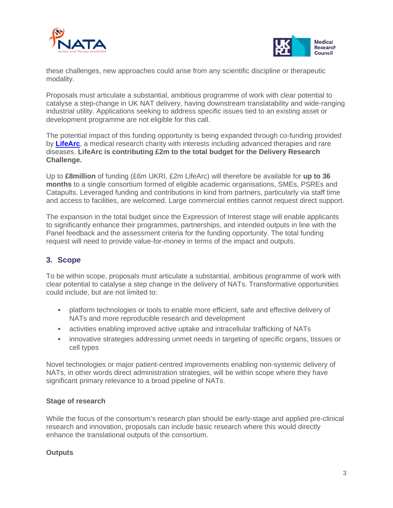



these challenges, new approaches could arise from any scientific discipline or therapeutic modality.

Proposals must articulate a substantial, ambitious programme of work with clear potential to catalyse a step-change in UK NAT delivery, having downstream translatability and wide-ranging industrial utility. Applications seeking to address specific issues tied to an existing asset or development programme are not eligible for this call.

The potential impact of this funding opportunity is being expanded through co-funding provided by **[LifeArc](https://www.lifearc.org/)**, a medical research charity with interests including advanced therapies and rare diseases. **LifeArc is contributing £2m to the total budget for the Delivery Research Challenge.**

Up to **£8million** of funding (£6m UKRI, £2m LifeArc) will therefore be available for **up to 36 months** to a single consortium formed of eligible academic organisations, SMEs, PSREs and Catapults. Leveraged funding and contributions in kind from partners, particularly via staff time and access to facilities, are welcomed. Large commercial entities cannot request direct support.

The expansion in the total budget since the Expression of Interest stage will enable applicants to significantly enhance their programmes, partnerships, and intended outputs in line with the Panel feedback and the assessment criteria for the funding opportunity. The total funding request will need to provide value-for-money in terms of the impact and outputs.

# <span id="page-2-0"></span>**3. Scope**

To be within scope, proposals must articulate a substantial, ambitious programme of work with clear potential to catalyse a step change in the delivery of NATs. Transformative opportunities could include, but are not limited to:

- platform technologies or tools to enable more efficient, safe and effective delivery of NATs and more reproducible research and development
- activities enabling improved active uptake and intracellular trafficking of NATs
- **innovative strategies addressing unmet needs in targeting of specific organs, tissues or** cell types

Novel technologies or major patient-centred improvements enabling non-systemic delivery of NATs, in other words direct administration strategies, will be within scope where they have significant primary relevance to a broad pipeline of NATs.

#### **Stage of research**

While the focus of the consortium's research plan should be early-stage and applied pre-clinical research and innovation, proposals can include basic research where this would directly enhance the translational outputs of the consortium.

#### **Outputs**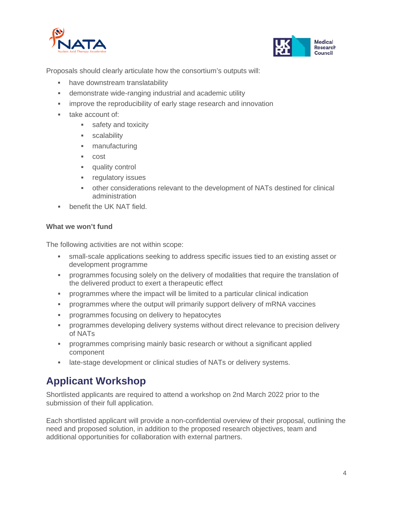



Proposals should clearly articulate how the consortium's outputs will:

- have downstream translatability
- demonstrate wide-ranging industrial and academic utility
- **Fullehelian incredity** of early stage research and innovation
- **take account of:** 
	- **safety and toxicity**
	- **scalability**
	- **manufacturing**
	- cost
	- **quality control**
	- **Figulatory issues**
	- other considerations relevant to the development of NATs destined for clinical administration
- benefit the UK NAT field.

#### **What we won't fund**

The following activities are not within scope:

- small-scale applications seeking to address specific issues tied to an existing asset or development programme
- programmes focusing solely on the delivery of modalities that require the translation of the delivered product to exert a therapeutic effect
- programmes where the impact will be limited to a particular clinical indication
- programmes where the output will primarily support delivery of mRNA vaccines
- programmes focusing on delivery to hepatocytes
- programmes developing delivery systems without direct relevance to precision delivery of NATs
- programmes comprising mainly basic research or without a significant applied component
- late-stage development or clinical studies of NATs or delivery systems.

# <span id="page-3-0"></span>**Applicant Workshop**

Shortlisted applicants are required to attend a workshop on 2nd March 2022 prior to the submission of their full application.

Each shortlisted applicant will provide a non-confidential overview of their proposal, outlining the need and proposed solution, in addition to the proposed research objectives, team and additional opportunities for collaboration with external partners.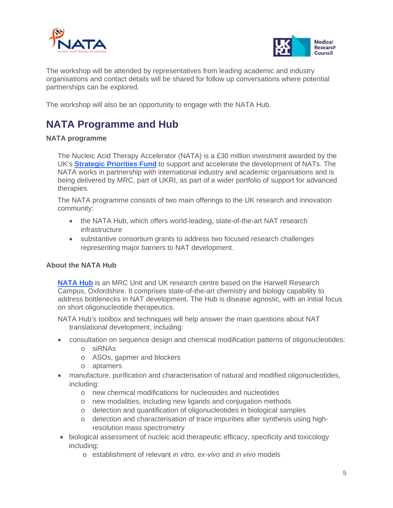



The workshop will be attended by representatives from leading academic and industry organisations and contact details will be shared for follow up conversations where potential partnerships can be explored.

The workshop will also be an opportunity to engage with the NATA Hub.

# <span id="page-4-0"></span>**NATA Programme and Hub**

#### **NATA programme**

The Nucleic Acid Therapy Accelerator (NATA) is a £30 million investment awarded by the UK's **[Strategic Priorities Fund](https://www.ukri.org/our-work/our-main-funds/strategic-priorities-fund/)** to support and accelerate the development of NATs. The NATA works in partnership with international industry and academic organisations and is being delivered by MRC, part of UKRI, as part of a wider portfolio of support for advanced therapies.

The NATA programme consists of two main offerings to the UK research and innovation community:

- the NATA Hub, which offers world-leading, state-of-the-art NAT research infrastructure
- substantive consortium grants to address two focused research challenges representing major barriers to NAT development.

#### **About the NATA Hub**

**[NATA Hub](http://www.natahub.org/)** is an MRC Unit and UK research centre based on the Harwell Research Campus, Oxfordshire. It comprises state-of-the-art chemistry and biology capability to address bottlenecks in NAT development. The Hub is disease agnostic, with an initial focus on short oligonucleotide therapeutics.

NATA Hub's toolbox and techniques will help answer the main questions about NAT translational development, including:

- consultation on sequence design and chemical modification patterns of oligonucleotides:
	- o siRNAs
	- o ASOs, gapmer and blockers
	- o aptamers
- manufacture, purification and characterisation of natural and modified oligonucleotides, including:
	- o new chemical modifications for nucleosides and nucleotides
	- o new modalities, including new ligands and conjugation methods
	- o detection and quantification of oligonucleotides in biological samples
	- o detection and characterisation of trace impurities after synthesis using highresolution mass spectrometry
- biological assessment of nucleic acid therapeutic efficacy, specificity and toxicology including:
	- o establishment of relevant *in vitro*, *ex-vivo* and *in vivo* models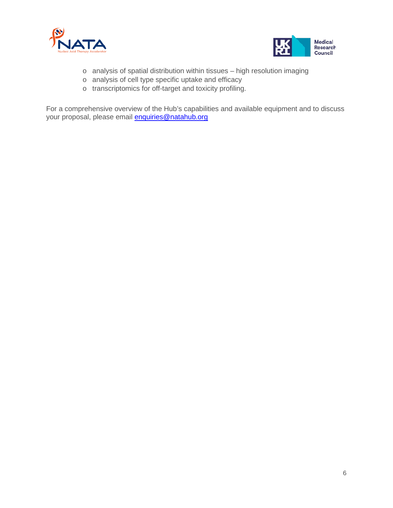



- o analysis of spatial distribution within tissues high resolution imaging
- o analysis of cell type specific uptake and efficacy
- o transcriptomics for off-target and toxicity profiling.

For a comprehensive overview of the Hub's capabilities and available equipment and to discuss your proposal, please email **enquiries@natahub.org**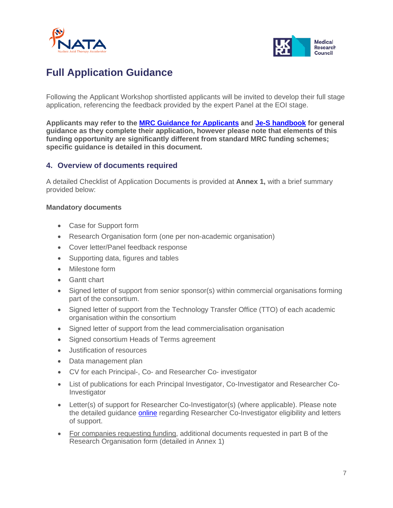



# <span id="page-6-0"></span>**Full Application Guidance**

Following the Applicant Workshop shortlisted applicants will be invited to develop their full stage application, referencing the feedback provided by the expert Panel at the EOI stage.

**Applicants may refer to the [MRC Guidance for Applicants](https://mrc.ukri.org/funding/guidance-for-applicants/) and [Je-S handbook](https://ukri-my.sharepoint.com/personal/sophie_liddell_mrc_ukri_org/Documents/NATA/Funding%20opportunity/Full%20stage/Guidance%20and%20forms/Working%20versions%20and%20comments/I%20can%E2%80%99t%20see%20anything%20useful%20specific%20to%20the%20JoR%20in%20the%20Je-S%20handbook%20but%20have%20added%20a%20link%20to%20it%20earlier%20in%20the%20document%20for%20general%20Je-S%20help.) for general guidance as they complete their application, however please note that elements of this funding opportunity are significantly different from standard MRC funding schemes; specific guidance is detailed in this document.**

### <span id="page-6-1"></span>**4. Overview of documents required**

A detailed Checklist of Application Documents is provided at **Annex 1,** with a brief summary provided below:

#### **Mandatory documents**

- Case for Support form
- Research Organisation form (one per non-academic organisation)
- Cover letter/Panel feedback response
- Supporting data, figures and tables
- Milestone form
- Gantt chart
- Signed letter of support from senior sponsor(s) within commercial organisations forming part of the consortium.
- Signed letter of support from the Technology Transfer Office (TTO) of each academic organisation within the consortium
- Signed letter of support from the lead commercialisation organisation
- Signed consortium Heads of Terms agreement
- Justification of resources
- Data management plan
- CV for each Principal-, Co- and Researcher Co- investigator
- List of publications for each Principal Investigator, Co-Investigator and Researcher Co-Investigator
- Letter(s) of support for Researcher Co-Investigator(s) (where applicable). Please note the detailed guidance [online](https://mrc.ukri.org/skills-careers/additional-career-support/researcher-co-investigator-rcoi/) regarding Researcher Co-Investigator eligibility and letters of support.
- For companies requesting funding, additional documents requested in part B of the Research Organisation form (detailed in Annex 1)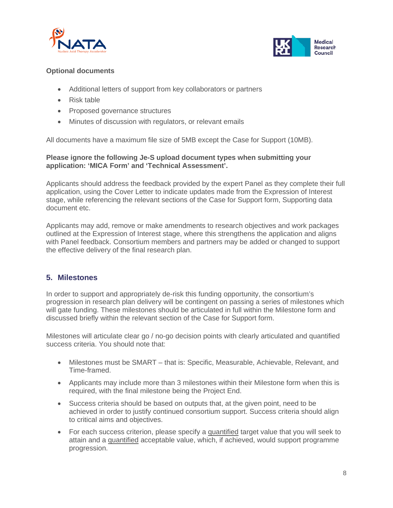



#### **Optional documents**

- Additional letters of support from key collaborators or partners
- Risk table
- Proposed governance structures
- Minutes of discussion with regulators, or relevant emails

All documents have a maximum file size of 5MB except the Case for Support (10MB).

#### **Please ignore the following Je-S upload document types when submitting your application: 'MICA Form' and 'Technical Assessment'.**

Applicants should address the feedback provided by the expert Panel as they complete their full application, using the Cover Letter to indicate updates made from the Expression of Interest stage, while referencing the relevant sections of the Case for Support form, Supporting data document etc.

Applicants may add, remove or make amendments to research objectives and work packages outlined at the Expression of Interest stage, where this strengthens the application and aligns with Panel feedback. Consortium members and partners may be added or changed to support the effective delivery of the final research plan.

### <span id="page-7-0"></span>**5. Milestones**

In order to support and appropriately de-risk this funding opportunity, the consortium's progression in research plan delivery will be contingent on passing a series of milestones which will gate funding. These milestones should be articulated in full within the Milestone form and discussed briefly within the relevant section of the Case for Support form.

Milestones will articulate clear go / no-go decision points with clearly articulated and quantified success criteria. You should note that:

- Milestones must be SMART that is: Specific, Measurable, Achievable, Relevant, and Time-framed.
- Applicants may include more than 3 milestones within their Milestone form when this is required, with the final milestone being the Project End.
- Success criteria should be based on outputs that, at the given point, need to be achieved in order to justify continued consortium support. Success criteria should align to critical aims and objectives.
- For each success criterion, please specify a quantified target value that you will seek to attain and a quantified acceptable value, which, if achieved, would support programme progression.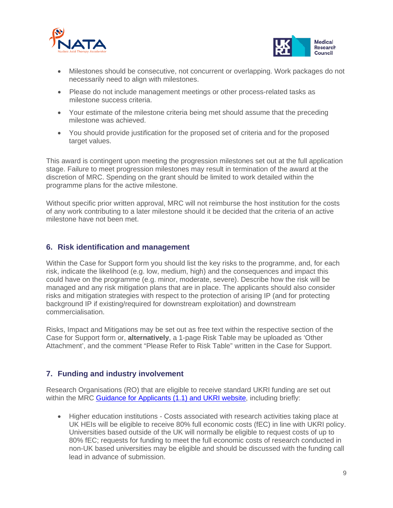



- Milestones should be consecutive, not concurrent or overlapping. Work packages do not necessarily need to align with milestones.
- Please do not include management meetings or other process-related tasks as milestone success criteria.
- Your estimate of the milestone criteria being met should assume that the preceding milestone was achieved.
- You should provide justification for the proposed set of criteria and for the proposed target values.

This award is contingent upon meeting the progression milestones set out at the full application stage. Failure to meet progression milestones may result in termination of the award at the discretion of MRC. Spending on the grant should be limited to work detailed within the programme plans for the active milestone.

Without specific prior written approval, MRC will not reimburse the host institution for the costs of any work contributing to a later milestone should it be decided that the criteria of an active milestone have not been met.

### <span id="page-8-0"></span>**6. Risk identification and management**

Within the Case for Support form you should list the key risks to the programme, and, for each risk, indicate the likelihood (e.g. low, medium, high) and the consequences and impact this could have on the programme (e.g. minor, moderate, severe). Describe how the risk will be managed and any risk mitigation plans that are in place. The applicants should also consider risks and mitigation strategies with respect to the protection of arising IP (and for protecting background IP if existing/required for downstream exploitation) and downstream commercialisation.

Risks, Impact and Mitigations may be set out as free text within the respective section of the Case for Support form or, **alternatively**, a 1-page Risk Table may be uploaded as 'Other Attachment', and the comment "Please Refer to Risk Table" written in the Case for Support.

# <span id="page-8-1"></span>**7. Funding and industry involvement**

Research Organisations (RO) that are eligible to receive standard UKRI funding are set out within the MRC Guidance [for Applicants \(1.1\)](https://mrc.ukri.org/funding/guidance-for-applicants/1-who-can-apply-and-how-to-apply/#1.1) and [UKRI website,](https://www.ukri.org/apply-for-funding/before-you-apply/check-if-you-are-eligible-for-research-and-innovation-funding/apply-to-become-an-eligible-organisation/) including briefly:

• Higher education institutions - Costs associated with research activities taking place at UK HEIs will be eligible to receive 80% full economic costs (fEC) in line with UKRI policy. Universities based outside of the UK will normally be eligible to request costs of up to 80% fEC; requests for funding to meet the full economic costs of research conducted in non-UK based universities may be eligible and should be discussed with the funding call lead in advance of submission.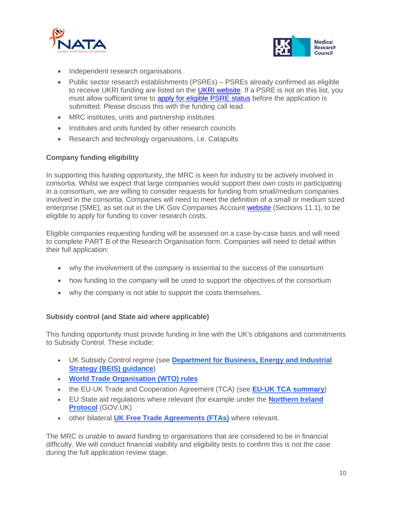



- Independent research organisations
- Public sector research establishments (PSREs) PSREs already confirmed as eligible to receive UKRI funding are listed on the [UKRI website.](https://www.ukri.org/apply-for-funding/before-you-apply/check-if-you-are-eligible-for-research-and-innovation-funding/eligible-public-sector-research-establishments/#chapter-list) If a PSRE is not on this list, you must allow sufficient time to [apply for eligible PSRE status](https://www.ukri.org/apply-for-funding/before-you-apply/check-if-you-are-eligible-for-research-and-innovation-funding/apply-to-become-an-eligible-organisation/) before the application is submitted. Please discuss this with the funding call lead.
- MRC institutes, units and partnership institutes
- Institutes and units funded by other research councils
- Research and technology organisations, i.e. Catapults

#### **Company funding eligibility**

In supporting this funding opportunity, the MRC is keen for industry to be actively involved in consortia. Whilst we expect that large companies would support their own costs in participating in a consortium, we are willing to consider requests for funding from small/medium companies involved in the consortia. Companies will need to meet the definition of a small or medium sized enterprise (SME), as set out in the UK Gov Companies Account [website](https://www.gov.uk/government/publications/life-of-a-company-annual-requirements/life-of-a-company-part-1-accounts#medium-sized-company-accounts) (Sections 11.1), to be eligible to apply for funding to cover research costs.

Eligible companies requesting funding will be assessed on a case-by-case basis and will need to complete PART B of the Research Organisation form. Companies will need to detail within their full application:

- why the involvement of the company is essential to the success of the consortium
- how funding to the company will be used to support the objectives of the consortium
- why the company is not able to support the costs themselves.

#### **Subsidy control (and State aid where applicable)**

This funding opportunity must provide funding in line with the UK's obligations and commitments to Subsidy Control. These include:

- UK Subsidy Control regime (see **[Department for Business, Energy and Industrial](https://www.gov.uk/government/publications/complying-with-the-uks-international-obligations-on-subsidy-control-guidance-for-public-authorities/summary-guide-to-awarding-subsidies-from-1-january-2021)  [Strategy \(BEIS\) guidance](https://www.gov.uk/government/publications/complying-with-the-uks-international-obligations-on-subsidy-control-guidance-for-public-authorities/summary-guide-to-awarding-subsidies-from-1-january-2021)**)
- **[World Trade Organisation \(WTO\) rules](https://www.gov.uk/guidance/trading-under-wto-rules)**
- the EU-UK Trade and Cooperation Agreement (TCA) (see **[EU-UK TCA summary](https://ec.europa.eu/info/relations-united-kingdom/eu-uk-trade-and-cooperation-agreement_en)**)
- EU State aid regulations where relevant (for example under the **[Northern Ireland](https://www.gov.uk/government/publications/complying-with-the-uks-international-obligations-on-subsidy-control-guidance-for-public-authorities)  [Protocol](https://www.gov.uk/government/publications/complying-with-the-uks-international-obligations-on-subsidy-control-guidance-for-public-authorities)** (GOV.UK)
- other bilateral **[UK Free Trade Agreements \(FTAs\)](https://www.gov.uk/government/collections/the-uks-trade-agreements)** where relevant.

The MRC is unable to award funding to organisations that are considered to be in financial difficulty. We will conduct financial viability and eligibility tests to confirm this is not the case during the full application review stage.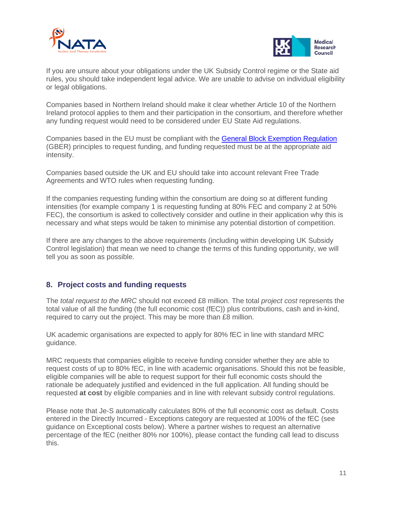



If you are unsure about your obligations under the UK Subsidy Control regime or the State aid rules, you should take independent legal advice. We are unable to advise on individual eligibility or legal obligations.

Companies based in Northern Ireland should make it clear whether Article 10 of the Northern Ireland protocol applies to them and their participation in the consortium, and therefore whether any funding request would need to be considered under EU State Aid regulations.

Companies based in the EU must be compliant with the [General Block Exemption Regulation](https://ec.europa.eu/competition-policy/state-aid/legislation/regulations_en) (GBER) principles to request funding, and funding requested must be at the appropriate aid intensity.

Companies based outside the UK and EU should take into account relevant Free Trade Agreements and WTO rules when requesting funding.

If the companies requesting funding within the consortium are doing so at different funding intensities (for example company 1 is requesting funding at 80% FEC and company 2 at 50% FEC), the consortium is asked to collectively consider and outline in their application why this is necessary and what steps would be taken to minimise any potential distortion of competition.

If there are any changes to the above requirements (including within developing UK Subsidy Control legislation) that mean we need to change the terms of this funding opportunity, we will tell you as soon as possible.

### <span id="page-10-0"></span>**8. Project costs and funding requests**

The *total request to the MRC* should not exceed £8 million. The total *project cost* represents the total value of all the funding (the full economic cost (fEC)) plus contributions, cash and in-kind, required to carry out the project. This may be more than £8 million.

UK academic organisations are expected to apply for 80% fEC in line with standard MRC guidance.

MRC requests that companies eligible to receive funding consider whether they are able to request costs of up to 80% fEC, in line with academic organisations. Should this not be feasible, eligible companies will be able to request support for their full economic costs should the rationale be adequately justified and evidenced in the full application. All funding should be requested **at cost** by eligible companies and in line with relevant subsidy control regulations.

Please note that Je-S automatically calculates 80% of the full economic cost as default. Costs entered in the Directly Incurred - Exceptions category are requested at 100% of the fEC (see guidance on Exceptional costs below). Where a partner wishes to request an alternative percentage of the fEC (neither 80% nor 100%), please contact the funding call lead to discuss this.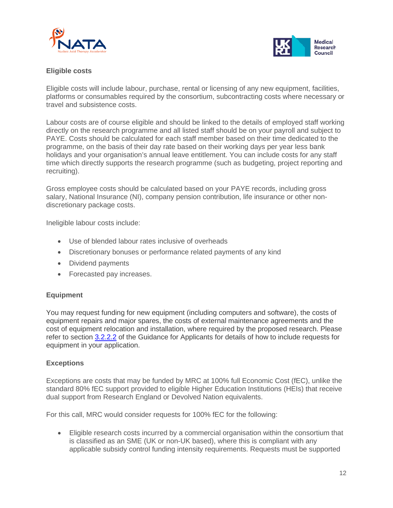



#### **Eligible costs**

Eligible costs will include labour, purchase, rental or licensing of any new equipment, facilities, platforms or consumables required by the consortium, subcontracting costs where necessary or travel and subsistence costs.

Labour costs are of course eligible and should be linked to the details of employed staff working directly on the research programme and all listed staff should be on your payroll and subject to PAYE. Costs should be calculated for each staff member based on their time dedicated to the programme, on the basis of their day rate based on their working days per year less bank holidays and your organisation's annual leave entitlement. You can include costs for any staff time which directly supports the research programme (such as budgeting, project reporting and recruiting).

Gross employee costs should be calculated based on your PAYE records, including gross salary, National Insurance (NI), company pension contribution, life insurance or other nondiscretionary package costs.

Ineligible labour costs include:

- Use of blended labour rates inclusive of overheads
- Discretionary bonuses or performance related payments of any kind
- Dividend payments
- Forecasted pay increases.

#### **Equipment**

You may request funding for new equipment (including computers and software), the costs of equipment repairs and major spares, the costs of external maintenance agreements and the cost of equipment relocation and installation, where required by the proposed research. Please refer to section [3.2.2.2](https://mrc.ukri.org/funding/guidance-for-applicants/resources/#3.2.2) of the Guidance for Applicants for details of how to include requests for equipment in your application.

#### **Exceptions**

Exceptions are costs that may be funded by MRC at 100% full Economic Cost (fEC), unlike the standard 80% fEC support provided to eligible Higher Education Institutions (HEIs) that receive dual support from Research England or Devolved Nation equivalents.

For this call, MRC would consider requests for 100% fEC for the following:

• Eligible research costs incurred by a commercial organisation within the consortium that is classified as an SME (UK or non-UK based), where this is compliant with any applicable subsidy control funding intensity requirements. Requests must be supported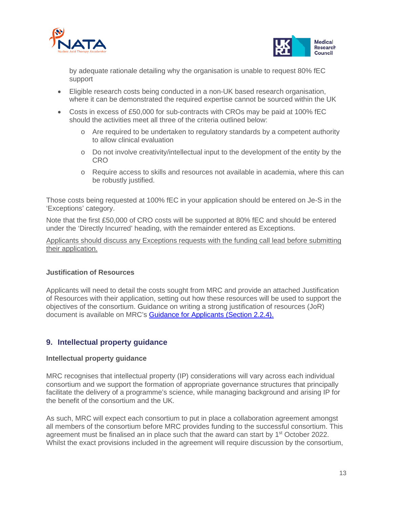



by adequate rationale detailing why the organisation is unable to request 80% fEC support

- Eligible research costs being conducted in a non-UK based research organisation, where it can be demonstrated the required expertise cannot be sourced within the UK
- Costs in excess of £50,000 for sub-contracts with CROs may be paid at 100% fEC should the activities meet all three of the criteria outlined below:
	- o Are required to be undertaken to regulatory standards by a competent authority to allow clinical evaluation
	- o Do not involve creativity/intellectual input to the development of the entity by the CRO
	- o Require access to skills and resources not available in academia, where this can be robustly justified.

Those costs being requested at 100% fEC in your application should be entered on Je-S in the 'Exceptions' category.

Note that the first £50,000 of CRO costs will be supported at 80% fEC and should be entered under the 'Directly Incurred' heading, with the remainder entered as Exceptions.

Applicants should discuss any Exceptions requests with the funding call lead before submitting their application.

#### **Justification of Resources**

Applicants will need to detail the costs sought from MRC and provide an attached Justification of Resources with their application, setting out how these resources will be used to support the objectives of the consortium. Guidance on writing a strong justification of resources (JoR) document is available on MRC's [Guidance for Applicants \(Section 2.2.4\).](https://mrc.ukri.org/funding/guidance-for-applicants/2-the-application/#2.2.4)

### <span id="page-12-0"></span>**9. Intellectual property guidance**

#### **Intellectual property guidance**

MRC recognises that intellectual property (IP) considerations will vary across each individual consortium and we support the formation of appropriate governance structures that principally facilitate the delivery of a programme's science, while managing background and arising IP for the benefit of the consortium and the UK.

As such, MRC will expect each consortium to put in place a collaboration agreement amongst all members of the consortium before MRC provides funding to the successful consortium. This agreement must be finalised an in place such that the award can start by 1<sup>st</sup> October 2022. Whilst the exact provisions included in the agreement will require discussion by the consortium,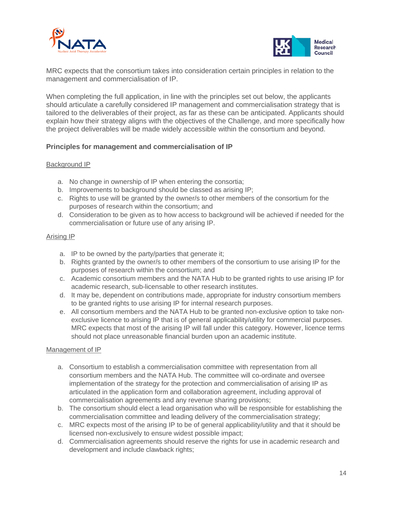



MRC expects that the consortium takes into consideration certain principles in relation to the management and commercialisation of IP.

When completing the full application, in line with the principles set out below, the applicants should articulate a carefully considered IP management and commercialisation strategy that is tailored to the deliverables of their project, as far as these can be anticipated. Applicants should explain how their strategy aligns with the objectives of the Challenge, and more specifically how the project deliverables will be made widely accessible within the consortium and beyond.

#### **Principles for management and commercialisation of IP**

#### Background IP

- a. No change in ownership of IP when entering the consortia;
- b. Improvements to background should be classed as arising IP;
- c. Rights to use will be granted by the owner/s to other members of the consortium for the purposes of research within the consortium; and
- d. Consideration to be given as to how access to background will be achieved if needed for the commercialisation or future use of any arising IP.

#### Arising IP

- a. IP to be owned by the party/parties that generate it;
- b. Rights granted by the owner/s to other members of the consortium to use arising IP for the purposes of research within the consortium; and
- c. Academic consortium members and the NATA Hub to be granted rights to use arising IP for academic research, sub-licensable to other research institutes.
- d. It may be, dependent on contributions made, appropriate for industry consortium members to be granted rights to use arising IP for internal research purposes.
- e. All consortium members and the NATA Hub to be granted non-exclusive option to take nonexclusive licence to arising IP that is of general applicability/utility for commercial purposes. MRC expects that most of the arising IP will fall under this category. However, licence terms should not place unreasonable financial burden upon an academic institute.

#### Management of IP

- a. Consortium to establish a commercialisation committee with representation from all consortium members and the NATA Hub. The committee will co-ordinate and oversee implementation of the strategy for the protection and commercialisation of arising IP as articulated in the application form and collaboration agreement, including approval of commercialisation agreements and any revenue sharing provisions;
- b. The consortium should elect a lead organisation who will be responsible for establishing the commercialisation committee and leading delivery of the commercialisation strategy;
- c. MRC expects most of the arising IP to be of general applicability/utility and that it should be licensed non-exclusively to ensure widest possible impact;
- d. Commercialisation agreements should reserve the rights for use in academic research and development and include clawback rights;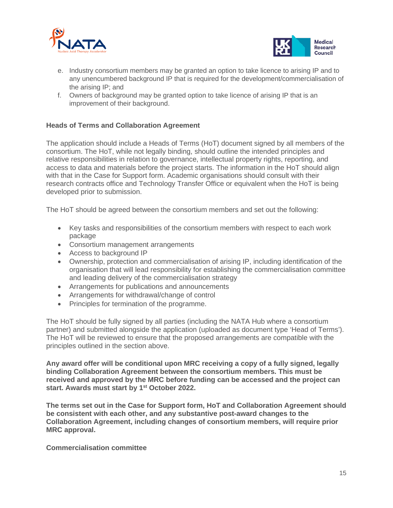



- e. Industry consortium members may be granted an option to take licence to arising IP and to any unencumbered background IP that is required for the development/commercialisation of the arising IP; and
- f. Owners of background may be granted option to take licence of arising IP that is an improvement of their background.

#### **Heads of Terms and Collaboration Agreement**

The application should include a Heads of Terms (HoT) document signed by all members of the consortium. The HoT, while not legally binding, should outline the intended principles and relative responsibilities in relation to governance, intellectual property rights, reporting, and access to data and materials before the project starts. The information in the HoT should align with that in the Case for Support form. Academic organisations should consult with their research contracts office and Technology Transfer Office or equivalent when the HoT is being developed prior to submission.

The HoT should be agreed between the consortium members and set out the following:

- Key tasks and responsibilities of the consortium members with respect to each work package
- Consortium management arrangements
- Access to background IP
- Ownership, protection and commercialisation of arising IP, including identification of the organisation that will lead responsibility for establishing the commercialisation committee and leading delivery of the commercialisation strategy
- Arrangements for publications and announcements
- Arrangements for withdrawal/change of control
- Principles for termination of the programme.

The HoT should be fully signed by all parties (including the NATA Hub where a consortium partner) and submitted alongside the application (uploaded as document type 'Head of Terms'). The HoT will be reviewed to ensure that the proposed arrangements are compatible with the principles outlined in the section above.

**Any award offer will be conditional upon MRC receiving a copy of a fully signed, legally binding Collaboration Agreement between the consortium members. This must be received and approved by the MRC before funding can be accessed and the project can start. Awards must start by 1st October 2022.**

**The terms set out in the Case for Support form, HoT and Collaboration Agreement should be consistent with each other, and any substantive post-award changes to the Collaboration Agreement, including changes of consortium members, will require prior MRC approval.**

**Commercialisation committee**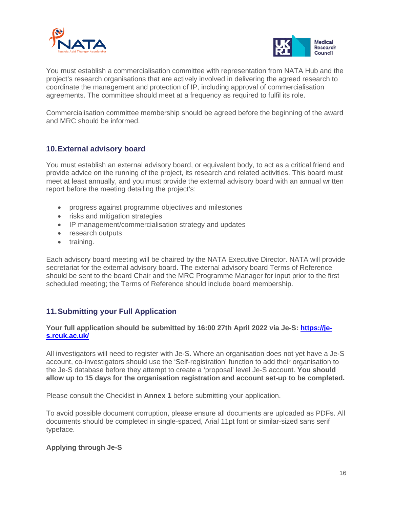



You must establish a commercialisation committee with representation from NATA Hub and the project's research organisations that are actively involved in delivering the agreed research to coordinate the management and protection of IP, including approval of commercialisation agreements. The committee should meet at a frequency as required to fulfil its role.

Commercialisation committee membership should be agreed before the beginning of the award and MRC should be informed.

#### <span id="page-15-0"></span>**10.External advisory board**

You must establish an external advisory board, or equivalent body, to act as a critical friend and provide advice on the running of the project, its research and related activities. This board must meet at least annually, and you must provide the external advisory board with an annual written report before the meeting detailing the project's:

- progress against programme objectives and milestones
- risks and mitigation strategies
- IP management/commercialisation strategy and updates
- research outputs
- training.

Each advisory board meeting will be chaired by the NATA Executive Director. NATA will provide secretariat for the external advisory board. The external advisory board Terms of Reference should be sent to the board Chair and the MRC Programme Manager for input prior to the first scheduled meeting; the Terms of Reference should include board membership.

### <span id="page-15-1"></span>**11.Submitting your Full Application**

#### **Your full application should be submitted by 16:00 27th April 2022 via Je-S: [https://je](https://je-s.rcuk.ac.uk/)[s.rcuk.ac.uk/](https://je-s.rcuk.ac.uk/)**

All investigators will need to register with Je-S. Where an organisation does not yet have a Je-S account, co-investigators should use the 'Self-registration' function to add their organisation to the Je-S database before they attempt to create a 'proposal' level Je-S account. **You should allow up to 15 days for the organisation registration and account set-up to be completed.**

Please consult the Checklist in **Annex 1** before submitting your application.

To avoid possible document corruption, please ensure all documents are uploaded as PDFs. All documents should be completed in single-spaced, Arial 11pt font or similar-sized sans serif typeface.

#### **Applying through Je-S**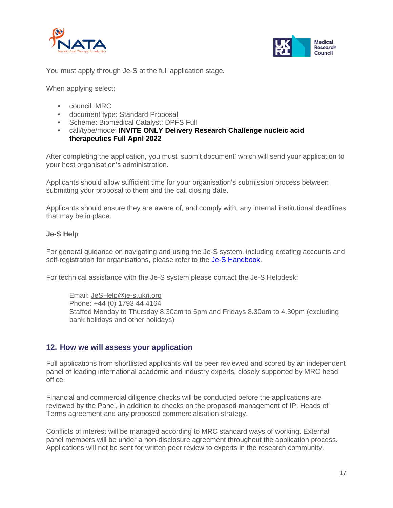



You must apply through Je-S at the full application stage**.**

When applying select:

- council: MRC
- document type: Standard Proposal
- **Scheme: Biomedical Catalyst: DPFS Full**
- call/type/mode: **INVITE ONLY Delivery Research Challenge nucleic acid therapeutics Full April 2022**

After completing the application, you must 'submit document' which will send your application to your host organisation's administration.

Applicants should allow sufficient time for your organisation's submission process between submitting your proposal to them and the call closing date.

Applicants should ensure they are aware of, and comply with, any internal institutional deadlines that may be in place.

#### **Je-S Help**

For general guidance on navigating and using the Je-S system, including creating accounts and self-registration for organisations, please refer to the [Je-S Handbook.](https://je-s.rcuk.ac.uk/handbook/index.htm#t=pages%2FHome.htm)

For technical assistance with the Je-S system please contact the Je-S Helpdesk:

Email: [JeSHelp@je-s.ukri.org](mailto:JeSHelp@je-s.ukri.org) Phone: +44 (0) 1793 44 4164 Staffed Monday to Thursday 8.30am to 5pm and Fridays 8.30am to 4.30pm (excluding bank holidays and other holidays)

#### <span id="page-16-0"></span>**12. How we will assess your application**

Full applications from shortlisted applicants will be peer reviewed and scored by an independent panel of leading international academic and industry experts, closely supported by MRC head office.

Financial and commercial diligence checks will be conducted before the applications are reviewed by the Panel, in addition to checks on the proposed management of IP, Heads of Terms agreement and any proposed commercialisation strategy.

Conflicts of interest will be managed according to MRC standard ways of working. External panel members will be under a non-disclosure agreement throughout the application process. Applications will not be sent for written peer review to experts in the research community.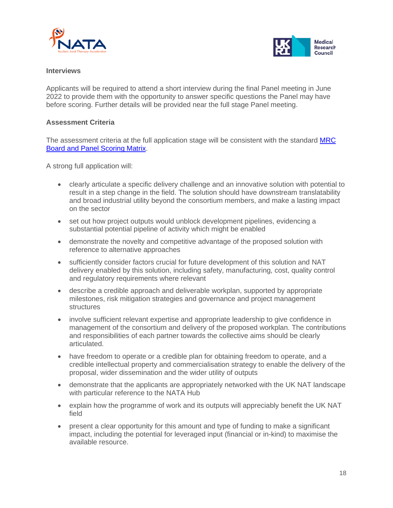



#### **Interviews**

Applicants will be required to attend a short interview during the final Panel meeting in June 2022 to provide them with the opportunity to answer specific questions the Panel may have before scoring. Further details will be provided near the full stage Panel meeting.

#### **Assessment Criteria**

The assessment criteria at the full application stage will be consistent with the standard [MRC](https://mrc.ukri.org/documents/pdf/scoring-matrix-for-board-and-panel-meetings/)  [Board and Panel Scoring Matrix.](https://mrc.ukri.org/documents/pdf/scoring-matrix-for-board-and-panel-meetings/)

A strong full application will:

- clearly articulate a specific delivery challenge and an innovative solution with potential to result in a step change in the field. The solution should have downstream translatability and broad industrial utility beyond the consortium members, and make a lasting impact on the sector
- set out how project outputs would unblock development pipelines, evidencing a substantial potential pipeline of activity which might be enabled
- demonstrate the novelty and competitive advantage of the proposed solution with reference to alternative approaches
- sufficiently consider factors crucial for future development of this solution and NAT delivery enabled by this solution, including safety, manufacturing, cost, quality control and regulatory requirements where relevant
- describe a credible approach and deliverable workplan, supported by appropriate milestones, risk mitigation strategies and governance and project management structures
- involve sufficient relevant expertise and appropriate leadership to give confidence in management of the consortium and delivery of the proposed workplan. The contributions and responsibilities of each partner towards the collective aims should be clearly articulated.
- have freedom to operate or a credible plan for obtaining freedom to operate, and a credible intellectual property and commercialisation strategy to enable the delivery of the proposal, wider dissemination and the wider utility of outputs
- demonstrate that the applicants are appropriately networked with the UK NAT landscape with particular reference to the NATA Hub
- explain how the programme of work and its outputs will appreciably benefit the UK NAT field
- present a clear opportunity for this amount and type of funding to make a significant impact, including the potential for leveraged input (financial or in-kind) to maximise the available resource.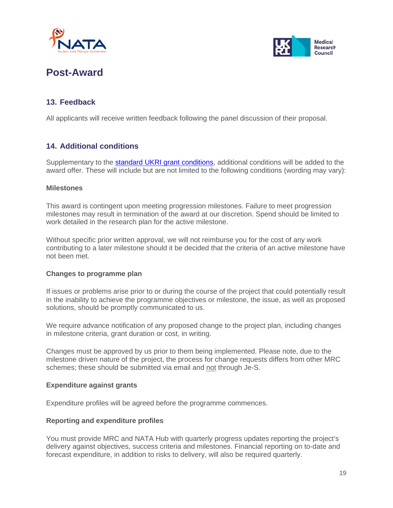



# <span id="page-18-0"></span>**Post-Award**

# <span id="page-18-1"></span>**13. Feedback**

All applicants will receive written feedback following the panel discussion of their proposal.

# <span id="page-18-2"></span>**14. Additional conditions**

Supplementary to the [standard UKRI grant conditions,](https://www.ukri.org/publications/terms-and-conditions-for-research-grants/) additional conditions will be added to the award offer. These will include but are not limited to the following conditions (wording may vary):

#### **Milestones**

This award is contingent upon meeting progression milestones. Failure to meet progression milestones may result in termination of the award at our discretion. Spend should be limited to work detailed in the research plan for the active milestone.

Without specific prior written approval, we will not reimburse you for the cost of any work contributing to a later milestone should it be decided that the criteria of an active milestone have not been met.

#### **Changes to programme plan**

If issues or problems arise prior to or during the course of the project that could potentially result in the inability to achieve the programme objectives or milestone, the issue, as well as proposed solutions, should be promptly communicated to us.

We require advance notification of any proposed change to the project plan, including changes in milestone criteria, grant duration or cost, in writing.

Changes must be approved by us prior to them being implemented. Please note, due to the milestone driven nature of the project, the process for change requests differs from other MRC schemes; these should be submitted via email and not through Je-S.

#### **Expenditure against grants**

Expenditure profiles will be agreed before the programme commences.

#### **Reporting and expenditure profiles**

You must provide MRC and NATA Hub with quarterly progress updates reporting the project's delivery against objectives, success criteria and milestones. Financial reporting on to-date and forecast expenditure, in addition to risks to delivery, will also be required quarterly.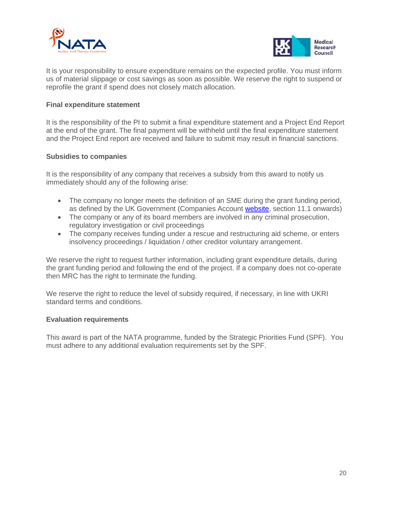



It is your responsibility to ensure expenditure remains on the expected profile. You must inform us of material slippage or cost savings as soon as possible. We reserve the right to suspend or reprofile the grant if spend does not closely match allocation.

#### **Final expenditure statement**

It is the responsibility of the PI to submit a final expenditure statement and a Project End Report at the end of the grant. The final payment will be withheld until the final expenditure statement and the Project End report are received and failure to submit may result in financial sanctions.

#### **Subsidies to companies**

It is the responsibility of any company that receives a subsidy from this award to notify us immediately should any of the following arise:

- The company no longer meets the definition of an SME during the grant funding period, as defined by the UK Government (Companies Account [website,](https://www.gov.uk/government/publications/life-of-a-company-annual-requirements/life-of-a-company-part-1-accounts#micro-entity) section 11.1 onwards)
- The company or any of its board members are involved in any criminal prosecution, regulatory investigation or civil proceedings
- The company receives funding under a rescue and restructuring aid scheme, or enters insolvency proceedings / liquidation / other creditor voluntary arrangement.

We reserve the right to request further information, including grant expenditure details, during the grant funding period and following the end of the project. If a company does not co-operate then MRC has the right to terminate the funding.

We reserve the right to reduce the level of subsidy required, if necessary, in line with UKRI standard terms and conditions.

#### **Evaluation requirements**

This award is part of the NATA programme, funded by the Strategic Priorities Fund (SPF). You must adhere to any additional evaluation requirements set by the SPF.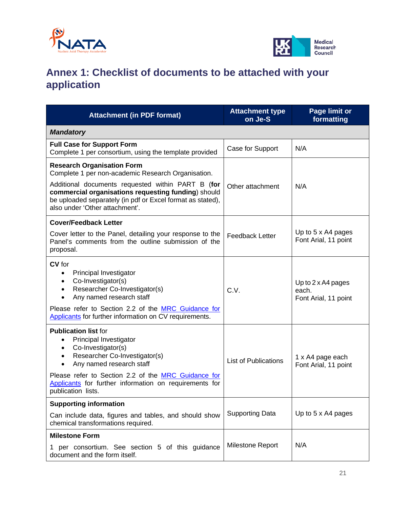



# <span id="page-20-0"></span>**Annex 1: Checklist of documents to be attached with your application**

| <b>Attachment (in PDF format)</b>                                                                                                                                                                                                                                                                                                   | <b>Attachment type</b><br>on Je-S | <b>Page limit or</b><br>formatting                         |  |  |
|-------------------------------------------------------------------------------------------------------------------------------------------------------------------------------------------------------------------------------------------------------------------------------------------------------------------------------------|-----------------------------------|------------------------------------------------------------|--|--|
| <b>Mandatory</b>                                                                                                                                                                                                                                                                                                                    |                                   |                                                            |  |  |
| <b>Full Case for Support Form</b><br>Complete 1 per consortium, using the template provided                                                                                                                                                                                                                                         | Case for Support                  | N/A                                                        |  |  |
| <b>Research Organisation Form</b><br>Complete 1 per non-academic Research Organisation.                                                                                                                                                                                                                                             |                                   |                                                            |  |  |
| Additional documents requested within PART B (for<br>commercial organisations requesting funding) should<br>be uploaded separately (in pdf or Excel format as stated),<br>also under 'Other attachment'.                                                                                                                            | Other attachment                  | N/A                                                        |  |  |
| <b>Cover/Feedback Letter</b>                                                                                                                                                                                                                                                                                                        |                                   |                                                            |  |  |
| Cover letter to the Panel, detailing your response to the<br>Panel's comments from the outline submission of the<br>proposal.                                                                                                                                                                                                       | <b>Feedback Letter</b>            | Up to 5 x A4 pages<br>Font Arial, 11 point                 |  |  |
| CV for<br>Principal Investigator<br>$\bullet$<br>Co-Investigator(s)<br>$\bullet$<br>Researcher Co-Investigator(s)<br>$\bullet$<br>Any named research staff<br>$\bullet$<br>Please refer to Section 2.2 of the MRC Guidance for<br>Applicants for further information on CV requirements.                                            | C.V.                              | Up to $2 \times A4$ pages<br>each.<br>Font Arial, 11 point |  |  |
| <b>Publication list for</b><br>Principal Investigator<br>$\bullet$<br>Co-Investigator(s)<br>$\bullet$<br>Researcher Co-Investigator(s)<br>$\bullet$<br>Any named research staff<br>$\bullet$<br>Please refer to Section 2.2 of the MRC Guidance for<br>Applicants for further information on requirements for<br>publication lists. | <b>List of Publications</b>       | 1 x A4 page each<br>Font Arial, 11 point                   |  |  |
| <b>Supporting information</b>                                                                                                                                                                                                                                                                                                       |                                   |                                                            |  |  |
| Can include data, figures and tables, and should show<br>chemical transformations required.                                                                                                                                                                                                                                         | <b>Supporting Data</b>            | Up to 5 x A4 pages                                         |  |  |
| <b>Milestone Form</b>                                                                                                                                                                                                                                                                                                               |                                   |                                                            |  |  |
| 1 per consortium. See section 5 of this guidance<br>document and the form itself.                                                                                                                                                                                                                                                   | Milestone Report                  | N/A                                                        |  |  |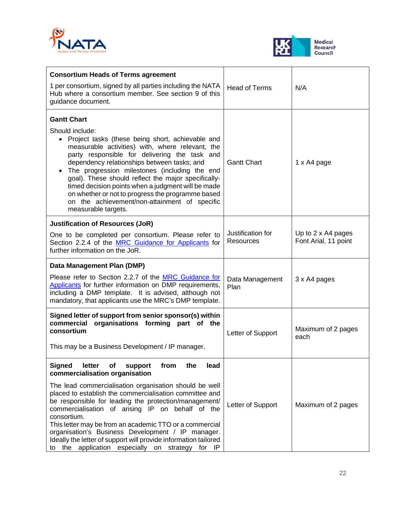



| <b>Consortium Heads of Terms agreement</b>                                                                                                                                                                                                                                                                                                                                                                                                                                                                                                 |                                       |                                            |
|--------------------------------------------------------------------------------------------------------------------------------------------------------------------------------------------------------------------------------------------------------------------------------------------------------------------------------------------------------------------------------------------------------------------------------------------------------------------------------------------------------------------------------------------|---------------------------------------|--------------------------------------------|
| 1 per consortium, signed by all parties including the NATA<br>Hub where a consortium member. See section 9 of this<br>guidance document.                                                                                                                                                                                                                                                                                                                                                                                                   | <b>Head of Terms</b>                  | N/A                                        |
| <b>Gantt Chart</b><br>Should include:<br>• Project tasks (these being short, achievable and<br>measurable activities) with, where relevant, the<br>party responsible for delivering the task and<br>dependency relationships between tasks; and<br>The progression milestones (including the end<br>goal). These should reflect the major specifically-<br>timed decision points when a judgment will be made<br>on whether or not to progress the programme based<br>on the achievement/non-attainment of specific<br>measurable targets. | <b>Gantt Chart</b>                    | 1 x A4 page                                |
| <b>Justification of Resources (JoR)</b><br>One to be completed per consortium. Please refer to<br>Section 2.2.4 of the MRC Guidance for Applicants for<br>further information on the JoR.                                                                                                                                                                                                                                                                                                                                                  | Justification for<br><b>Resources</b> | Up to 2 x A4 pages<br>Font Arial, 11 point |
| Data Management Plan (DMP)                                                                                                                                                                                                                                                                                                                                                                                                                                                                                                                 |                                       |                                            |
| Please refer to Section 2.2.7 of the MRC Guidance for<br>Applicants for further information on DMP requirements,<br>including a DMP template. It is advised, although not<br>mandatory, that applicants use the MRC's DMP template.                                                                                                                                                                                                                                                                                                        | Data Management<br>Plan               | 3 x A4 pages                               |
| Signed letter of support from senior sponsor(s) within<br>organisations forming part of the<br>commercial<br>consortium<br>This may be a Business Development / IP manager.                                                                                                                                                                                                                                                                                                                                                                | Letter of Support                     | Maximum of 2 pages<br>each                 |
| letter<br><b>Signed</b><br>of<br>from<br>the<br>support<br>lead<br>commercialisation organisation                                                                                                                                                                                                                                                                                                                                                                                                                                          |                                       |                                            |
| The lead commercialisation organisation should be well<br>placed to establish the commercialisation committee and<br>be responsible for leading the protection/management/<br>commercialisation of arising IP on behalf of the<br>consortium.<br>This letter may be from an academic TTO or a commercial<br>organisation's Business Development / IP manager.<br>Ideally the letter of support will provide information tailored<br>to the application especially on strategy for IP                                                       | Letter of Support                     | Maximum of 2 pages                         |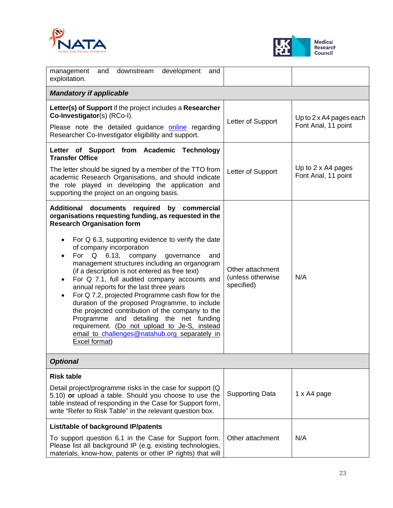



| management<br>and<br>downstream development<br>and<br>exploitation.                                                                                                                                                                                                                                                                                                                                                                                                                                                                                                                                                                                                                                                                                                                         |                                                      |                                                        |  |  |  |
|---------------------------------------------------------------------------------------------------------------------------------------------------------------------------------------------------------------------------------------------------------------------------------------------------------------------------------------------------------------------------------------------------------------------------------------------------------------------------------------------------------------------------------------------------------------------------------------------------------------------------------------------------------------------------------------------------------------------------------------------------------------------------------------------|------------------------------------------------------|--------------------------------------------------------|--|--|--|
| <b>Mandatory if applicable</b>                                                                                                                                                                                                                                                                                                                                                                                                                                                                                                                                                                                                                                                                                                                                                              |                                                      |                                                        |  |  |  |
| Letter(s) of Support if the project includes a Researcher<br>Co-Investigator(s) (RCo-I).<br>Please note the detailed guidance <b>online</b> regarding<br>Researcher Co-Investigator eligibility and support.                                                                                                                                                                                                                                                                                                                                                                                                                                                                                                                                                                                | Letter of Support                                    | Up to $2 \times$ A4 pages each<br>Font Arial, 11 point |  |  |  |
| Letter of Support from Academic Technology<br><b>Transfer Office</b><br>The letter should be signed by a member of the TTO from<br>academic Research Organisations, and should indicate<br>the role played in developing the application and<br>supporting the project on an ongoing basis.                                                                                                                                                                                                                                                                                                                                                                                                                                                                                                 | Letter of Support                                    | Up to 2 x A4 pages<br>Font Arial, 11 point             |  |  |  |
| Additional documents required by commercial<br>organisations requesting funding, as requested in the<br><b>Research Organisation form</b><br>For Q 6.3, supporting evidence to verify the date<br>of company incorporation<br>For Q 6.13, company<br>governance<br>and<br>management structures including an organogram<br>(if a description is not entered as free text)<br>For Q 7.1, full audited company accounts and<br>annual reports for the last three years<br>For Q 7.2, projected Programme cash flow for the<br>duration of the proposed Programme, to include<br>the projected contribution of the company to the<br>Programme and detailing the net funding<br>requirement. (Do not upload to Je-S, instead<br>email to challenges@natahub.org separately in<br>Excel format) | Other attachment<br>(unless otherwise)<br>specified) | N/A                                                    |  |  |  |
| <b>Optional</b>                                                                                                                                                                                                                                                                                                                                                                                                                                                                                                                                                                                                                                                                                                                                                                             |                                                      |                                                        |  |  |  |
| <b>Risk table</b><br>Detail project/programme risks in the case for support (Q)<br>5.10) or upload a table. Should you choose to use the<br>table instead of responding in the Case for Support form,<br>write "Refer to Risk Table" in the relevant question box.                                                                                                                                                                                                                                                                                                                                                                                                                                                                                                                          | <b>Supporting Data</b>                               | 1 x A4 page                                            |  |  |  |
| List/table of background IP/patents<br>To support question 6.1 in the Case for Support form.<br>Please list all background IP (e.g. existing technologies,<br>materials, know-how, patents or other IP rights) that will                                                                                                                                                                                                                                                                                                                                                                                                                                                                                                                                                                    | Other attachment                                     | N/A                                                    |  |  |  |